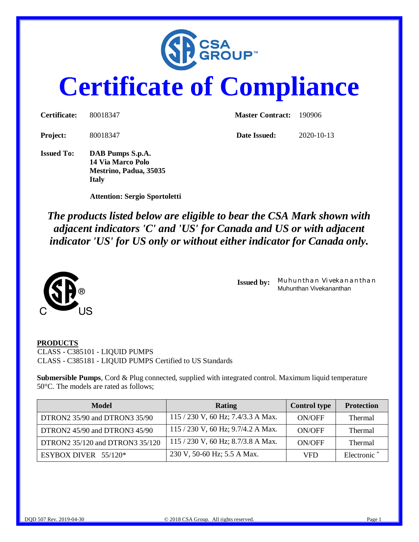

# **Certificate of Compliance**

| <b>Certificate:</b> | 80018347                                                        | <b>Master Contract:</b> | - 190906         |  |
|---------------------|-----------------------------------------------------------------|-------------------------|------------------|--|
| <b>Project:</b>     | 80018347                                                        | Date Issued:            | $2020 - 10 - 13$ |  |
| <b>Issued To:</b>   | DAB Pumps S.p.A.<br>14 Via Marco Polo<br>Mestrino, Padua, 35035 |                         |                  |  |

 **Attention: Sergio Sportoletti**

**Italy**

*The products listed below are eligible to bear the CSA Mark shown with adjacent indicators 'C' and 'US' for Canada and US or with adjacent indicator 'US' for US only or without either indicator for Canada only.*



**Issued by:** *Muhunthan Vivekananthan* Muhunthan Vivekananthan

#### **PRODUCTS**

CLASS - C385101 - LIQUID PUMPS CLASS - C385181 - LIQUID PUMPS Certified to US Standards

**Submersible Pumps**, Cord & Plug connected, supplied with integrated control. Maximum liquid temperature 50°C. The models are rated as follows;

| Model                           | Rating                               | <b>Control type</b> | <b>Protection</b> |
|---------------------------------|--------------------------------------|---------------------|-------------------|
| DTRON2 35/90 and DTRON3 35/90   | $115 / 230$ V, 60 Hz; 7.4/3.3 A Max. | ON/OFF              | <b>Thermal</b>    |
| DTRON2 45/90 and DTRON3 45/90   | 115 / 230 V, 60 Hz; 9.7/4.2 A Max.   | ON/OFF              | <b>Thermal</b>    |
| DTRON2 35/120 and DTRON3 35/120 | 115 / 230 V, 60 Hz; 8.7/3.8 A Max.   | ON/OFF              | <b>Thermal</b>    |
| ESYBOX DIVER $55/120*$          | 230 V, 50-60 Hz; 5.5 A Max.          | VFD                 | Electronic        |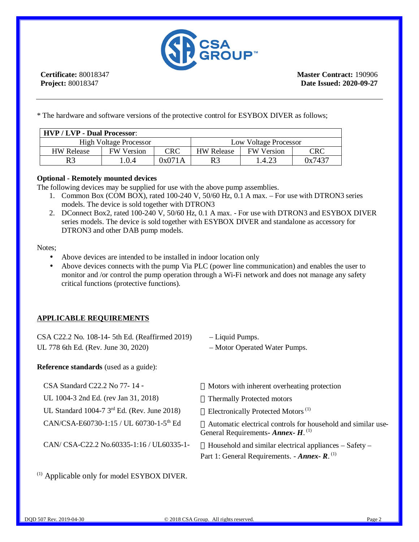

**Certificate:** 80018347 **Project:** 80018347

**Master Contract:** 190906 **Date Issued: 2020-09-27**

\* The hardware and software versions of the protective control for ESYBOX DIVER as follows;

| <b>HVP / LVP - Dual Processor:</b> |                   |            |                       |                   |        |
|------------------------------------|-------------------|------------|-----------------------|-------------------|--------|
| <b>High Voltage Processor</b>      |                   |            | Low Voltage Processor |                   |        |
| <b>HW Release</b>                  | <b>FW</b> Version | <b>CRC</b> | <b>HW Release</b>     | <b>FW Version</b> | CRC    |
| R <sub>3</sub>                     | 1.0.4             | 0x071A     | R3                    | 1.4.23            | 0x7437 |

### **Optional - Remotely mounted devices**

The following devices may be supplied for use with the above pump assemblies.

- 1. Common Box (COM BOX), rated 100-240 V, 50/60 Hz, 0.1 A max. For use with DTRON3 series models. The device is sold together with DTRON3
- 2. DConnect Box2, rated 100-240 V, 50/60 Hz, 0.1 A max. For use with DTRON3 and ESYBOX DIVER series models. The device is sold together with ESYBOX DIVER and standalone as accessory for DTRON3 and other DAB pump models.

Notes;

- Above devices are intended to be installed in indoor location only  $\mathbf{r}$  .
- Above devices connects with the pump Via PLC (power line communication) and enables the user to monitor and /or control the pump operation through a Wi-Fi network and does not manage any safety critical functions (protective functions).

## **APPLICABLE REQUIREMENTS**

| CSA C22.2 No. 108-14- 5th Ed. (Reaffirmed 2019) | – Liquid Pumps.               |
|-------------------------------------------------|-------------------------------|
| UL 778 6th Ed. (Rev. June 30, 2020)             | - Motor Operated Water Pumps. |

**Reference standards** (used as a guide):

| CSA Standard C22.2 No 77-14 -                       | 3⁄4 Motors with inherent overheating protection                                                                                               |
|-----------------------------------------------------|-----------------------------------------------------------------------------------------------------------------------------------------------|
| UL 1004-3 2nd Ed. (rev Jan 31, 2018)                | 3⁄4 Thermally Protected motors                                                                                                                |
| UL Standard 1004-7 $3rd$ Ed. (Rev. June 2018)       | <sup>3</sup> ⁄4 Electronically Protected Motors <sup>(1)</sup>                                                                                |
| CAN/CSA-E60730-1:15 / UL 60730-1-5 <sup>th</sup> Ed | <sup>3</sup> / <sub>4</sub> Automatic electrical controls for household and similar use-<br>General Requirements- Annex- $H$ . <sup>(1)</sup> |
| CAN/ CSA-C22.2 No.60335-1:16 / UL60335-1-           | $\frac{3}{4}$ Household and similar electrical appliances – Safety –<br>Part 1: General Requirements. - Annex- $R$ . <sup>(1)</sup>           |

(1) Applicable only for model ESYBOX DIVER.